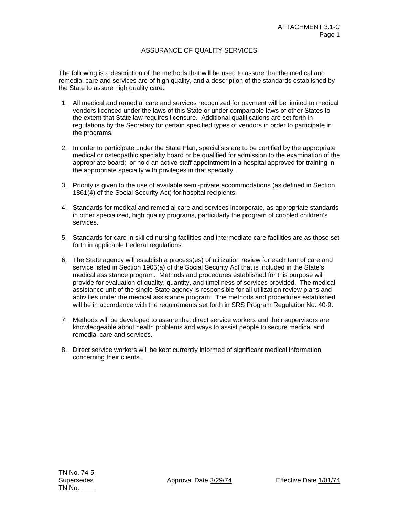## ASSURANCE OF QUALITY SERVICES

The following is a description of the methods that will be used to assure that the medical and remedial care and services are of high quality, and a description of the standards established by the State to assure high quality care:

- 1. All medical and remedial care and services recognized for payment will be limited to medical vendors licensed under the laws of this State or under comparable laws of other States to the extent that State law requires licensure. Additional qualifications are set forth in regulations by the Secretary for certain specified types of vendors in order to participate in the programs.
- 2. In order to participate under the State Plan, specialists are to be certified by the appropriate medical or osteopathic specialty board or be qualified for admission to the examination of the appropriate board; or hold an active staff appointment in a hospital approved for training in the appropriate specialty with privileges in that specialty.
- 3. Priority is given to the use of available semi-private accommodations (as defined in Section 1861(4) of the Social Security Act) for hospital recipients.
- 4. Standards for medical and remedial care and services incorporate, as appropriate standards in other specialized, high quality programs, particularly the program of crippled children's services.
- 5. Standards for care in skilled nursing facilities and intermediate care facilities are as those set forth in applicable Federal regulations.
- 6. The State agency will establish a process(es) of utilization review for each tem of care and service listed in Section 1905(a) of the Social Security Act that is included in the State's medical assistance program. Methods and procedures established for this purpose will provide for evaluation of quality, quantity, and timeliness of services provided. The medical assistance unit of the single State agency is responsible for all utilization review plans and activities under the medical assistance program. The methods and procedures established will be in accordance with the requirements set forth in SRS Program Regulation No. 40-9.
- 7. Methods will be developed to assure that direct service workers and their supervisors are knowledgeable about health problems and ways to assist people to secure medical and remedial care and services.
- 8. Direct service workers will be kept currently informed of significant medical information concerning their clients.